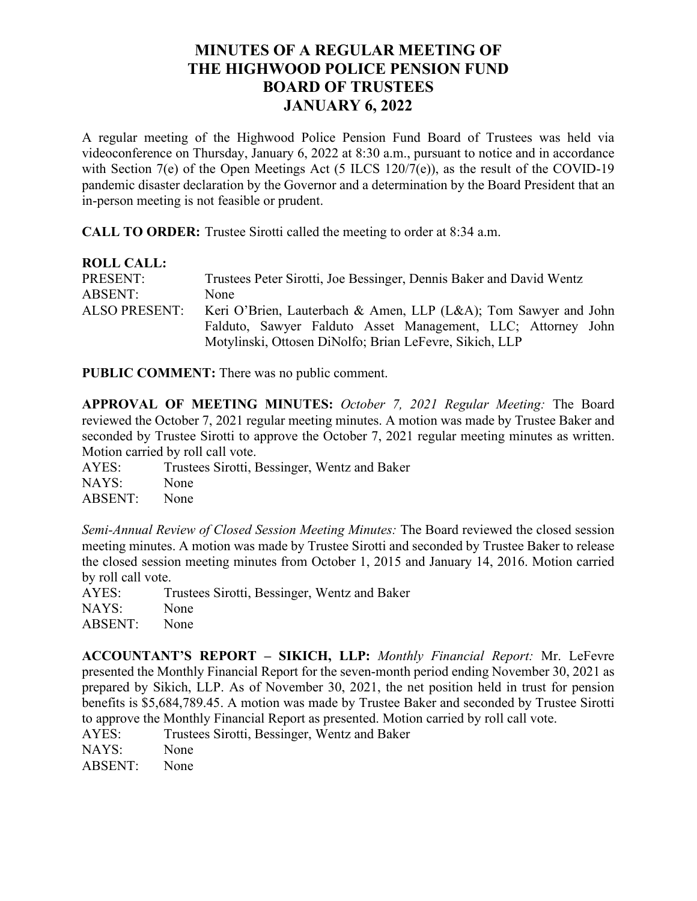## **MINUTES OF A REGULAR MEETING OF THE HIGHWOOD POLICE PENSION FUND BOARD OF TRUSTEES JANUARY 6, 2022**

A regular meeting of the Highwood Police Pension Fund Board of Trustees was held via videoconference on Thursday, January 6, 2022 at 8:30 a.m., pursuant to notice and in accordance with Section 7(e) of the Open Meetings Act (5 ILCS 120/7(e)), as the result of the COVID-19 pandemic disaster declaration by the Governor and a determination by the Board President that an in-person meeting is not feasible or prudent.

**CALL TO ORDER:** Trustee Sirotti called the meeting to order at 8:34 a.m.

| <b>ROLL CALL:</b>    |                                                                     |
|----------------------|---------------------------------------------------------------------|
| PRESENT:             | Trustees Peter Sirotti, Joe Bessinger, Dennis Baker and David Wentz |
| <b>ABSENT:</b>       | None                                                                |
| <b>ALSO PRESENT:</b> | Keri O'Brien, Lauterbach & Amen, LLP (L&A); Tom Sawyer and John     |
|                      | Falduto, Sawyer Falduto Asset Management, LLC; Attorney John        |
|                      | Motylinski, Ottosen DiNolfo; Brian LeFevre, Sikich, LLP             |

**PUBLIC COMMENT:** There was no public comment.

**APPROVAL OF MEETING MINUTES:** *October 7, 2021 Regular Meeting:* The Board reviewed the October 7, 2021 regular meeting minutes. A motion was made by Trustee Baker and seconded by Trustee Sirotti to approve the October 7, 2021 regular meeting minutes as written. Motion carried by roll call vote.

AYES: Trustees Sirotti, Bessinger, Wentz and Baker NAYS: None ABSENT: None

*Semi-Annual Review of Closed Session Meeting Minutes:* The Board reviewed the closed session meeting minutes. A motion was made by Trustee Sirotti and seconded by Trustee Baker to release the closed session meeting minutes from October 1, 2015 and January 14, 2016. Motion carried by roll call vote.

AYES: Trustees Sirotti, Bessinger, Wentz and Baker NAYS: None ABSENT: None

**ACCOUNTANT'S REPORT – SIKICH, LLP:** *Monthly Financial Report:* Mr. LeFevre presented the Monthly Financial Report for the seven-month period ending November 30, 2021 as prepared by Sikich, LLP. As of November 30, 2021, the net position held in trust for pension benefits is \$5,684,789.45. A motion was made by Trustee Baker and seconded by Trustee Sirotti to approve the Monthly Financial Report as presented. Motion carried by roll call vote.

AYES: Trustees Sirotti, Bessinger, Wentz and Baker

NAYS: None ABSENT: None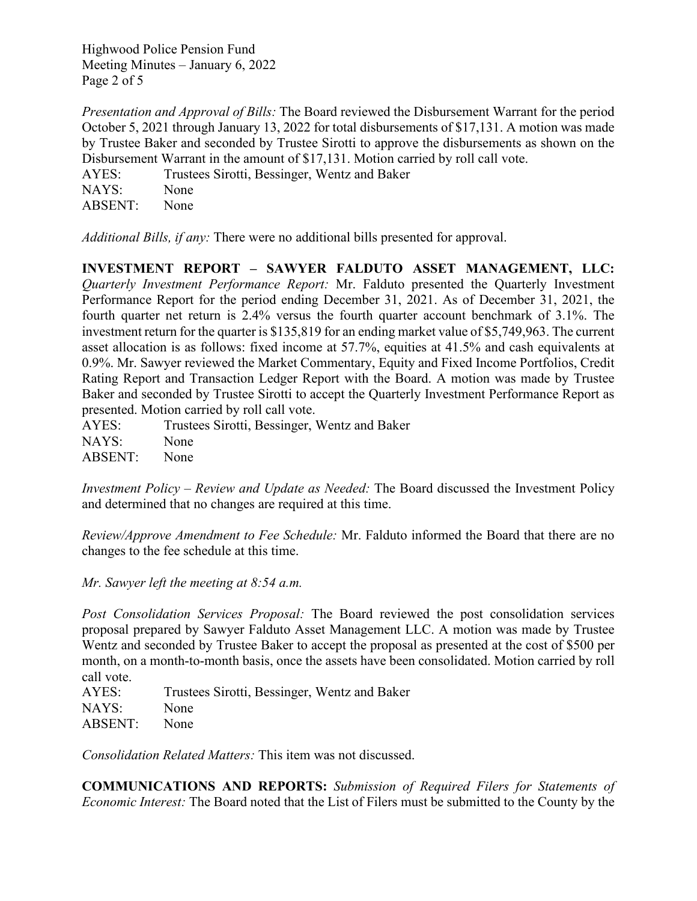Highwood Police Pension Fund Meeting Minutes – January 6, 2022 Page 2 of 5

*Presentation and Approval of Bills:* The Board reviewed the Disbursement Warrant for the period October 5, 2021 through January 13, 2022 for total disbursements of \$17,131. A motion was made by Trustee Baker and seconded by Trustee Sirotti to approve the disbursements as shown on the Disbursement Warrant in the amount of \$17,131. Motion carried by roll call vote.

AYES: Trustees Sirotti, Bessinger, Wentz and Baker NAYS: None ABSENT: None

*Additional Bills, if any:* There were no additional bills presented for approval.

**INVESTMENT REPORT – SAWYER FALDUTO ASSET MANAGEMENT, LLC:** *Quarterly Investment Performance Report:* Mr. Falduto presented the Quarterly Investment Performance Report for the period ending December 31, 2021. As of December 31, 2021, the fourth quarter net return is 2.4% versus the fourth quarter account benchmark of 3.1%. The investment return for the quarter is \$135,819 for an ending market value of \$5,749,963. The current asset allocation is as follows: fixed income at 57.7%, equities at 41.5% and cash equivalents at 0.9%. Mr. Sawyer reviewed the Market Commentary, Equity and Fixed Income Portfolios, Credit Rating Report and Transaction Ledger Report with the Board. A motion was made by Trustee Baker and seconded by Trustee Sirotti to accept the Quarterly Investment Performance Report as presented. Motion carried by roll call vote.

AYES: Trustees Sirotti, Bessinger, Wentz and Baker NAYS: None ABSENT: None

*Investment Policy – Review and Update as Needed:* The Board discussed the Investment Policy and determined that no changes are required at this time.

*Review/Approve Amendment to Fee Schedule:* Mr. Falduto informed the Board that there are no changes to the fee schedule at this time.

*Mr. Sawyer left the meeting at 8:54 a.m.*

*Post Consolidation Services Proposal:* The Board reviewed the post consolidation services proposal prepared by Sawyer Falduto Asset Management LLC. A motion was made by Trustee Wentz and seconded by Trustee Baker to accept the proposal as presented at the cost of \$500 per month, on a month-to-month basis, once the assets have been consolidated. Motion carried by roll call vote.

AYES: Trustees Sirotti, Bessinger, Wentz and Baker NAYS: None ABSENT: None

*Consolidation Related Matters:* This item was not discussed.

**COMMUNICATIONS AND REPORTS:** *Submission of Required Filers for Statements of Economic Interest:* The Board noted that the List of Filers must be submitted to the County by the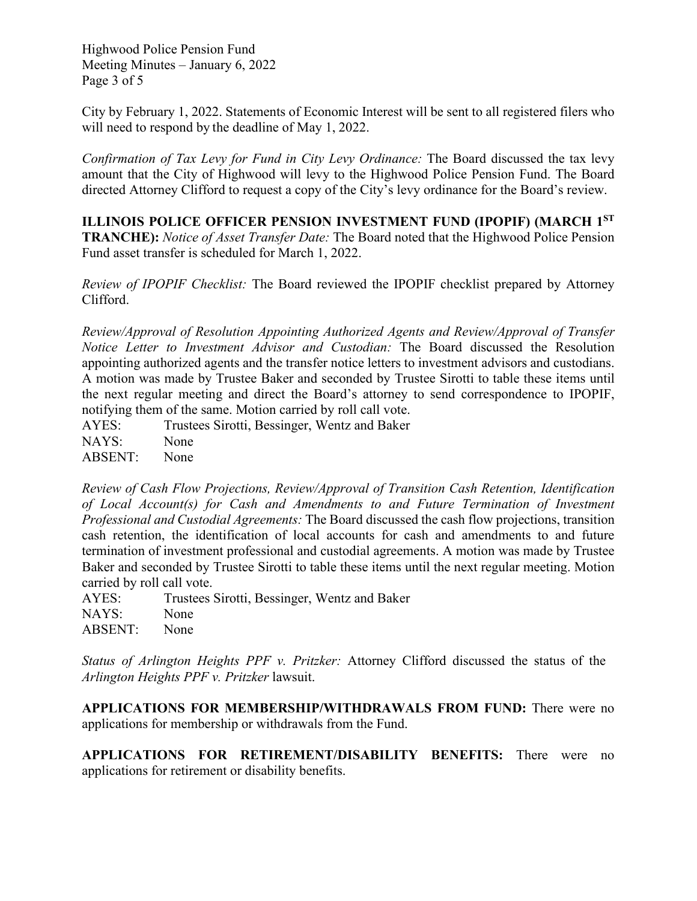Highwood Police Pension Fund Meeting Minutes – January 6, 2022 Page 3 of 5

City by February 1, 2022. Statements of Economic Interest will be sent to all registered filers who will need to respond by the deadline of May 1, 2022.

*Confirmation of Tax Levy for Fund in City Levy Ordinance:* The Board discussed the tax levy amount that the City of Highwood will levy to the Highwood Police Pension Fund. The Board directed Attorney Clifford to request a copy of the City's levy ordinance for the Board's review.

**ILLINOIS POLICE OFFICER PENSION INVESTMENT FUND (IPOPIF) (MARCH 1ST TRANCHE):** *Notice of Asset Transfer Date:* The Board noted that the Highwood Police Pension Fund asset transfer is scheduled for March 1, 2022.

*Review of IPOPIF Checklist:* The Board reviewed the IPOPIF checklist prepared by Attorney Clifford.

*Review/Approval of Resolution Appointing Authorized Agents and Review/Approval of Transfer Notice Letter to Investment Advisor and Custodian:* The Board discussed the Resolution appointing authorized agents and the transfer notice letters to investment advisors and custodians. A motion was made by Trustee Baker and seconded by Trustee Sirotti to table these items until the next regular meeting and direct the Board's attorney to send correspondence to IPOPIF, notifying them of the same. Motion carried by roll call vote.

AYES: Trustees Sirotti, Bessinger, Wentz and Baker NAYS: None ABSENT: None

*Review of Cash Flow Projections, Review/Approval of Transition Cash Retention, Identification of Local Account(s) for Cash and Amendments to and Future Termination of Investment Professional and Custodial Agreements:* The Board discussed the cash flow projections, transition cash retention, the identification of local accounts for cash and amendments to and future termination of investment professional and custodial agreements. A motion was made by Trustee Baker and seconded by Trustee Sirotti to table these items until the next regular meeting. Motion carried by roll call vote.

AYES: Trustees Sirotti, Bessinger, Wentz and Baker NAYS: None ABSENT: None

*Status of Arlington Heights PPF v. Pritzker:* Attorney Clifford discussed the status of the *Arlington Heights PPF v. Pritzker* lawsuit.

**APPLICATIONS FOR MEMBERSHIP/WITHDRAWALS FROM FUND:** There were no applications for membership or withdrawals from the Fund.

**APPLICATIONS FOR RETIREMENT/DISABILITY BENEFITS:** There were no applications for retirement or disability benefits.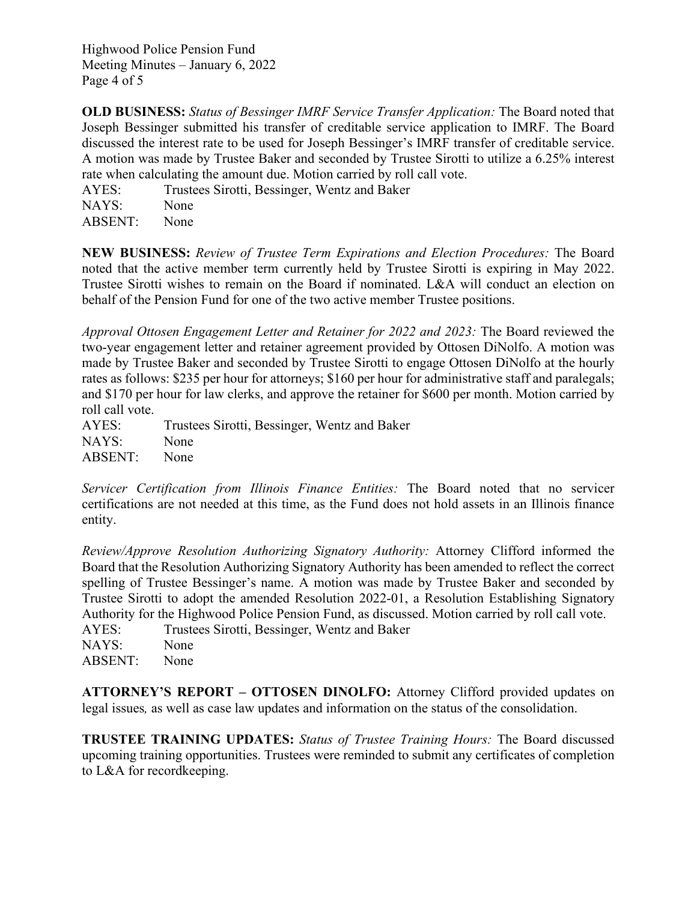Highwood Police Pension Fund Meeting Minutes – January 6, 2022 Page 4 of 5

**OLD BUSINESS:** *Status of Bessinger IMRF Service Transfer Application:* The Board noted that Joseph Bessinger submitted his transfer of creditable service application to IMRF. The Board discussed the interest rate to be used for Joseph Bessinger's IMRF transfer of creditable service. A motion was made by Trustee Baker and seconded by Trustee Sirotti to utilize a 6.25% interest rate when calculating the amount due. Motion carried by roll call vote.

AYES: Trustees Sirotti, Bessinger, Wentz and Baker NAYS: None ABSENT: None

**NEW BUSINESS:** *Review of Trustee Term Expirations and Election Procedures:* The Board noted that the active member term currently held by Trustee Sirotti is expiring in May 2022. Trustee Sirotti wishes to remain on the Board if nominated. L&A will conduct an election on behalf of the Pension Fund for one of the two active member Trustee positions.

*Approval Ottosen Engagement Letter and Retainer for 2022 and 2023:* The Board reviewed the two-year engagement letter and retainer agreement provided by Ottosen DiNolfo. A motion was made by Trustee Baker and seconded by Trustee Sirotti to engage Ottosen DiNolfo at the hourly rates as follows: \$235 per hour for attorneys; \$160 per hour for administrative staff and paralegals; and \$170 per hour for law clerks, and approve the retainer for \$600 per month. Motion carried by roll call vote.

AYES: Trustees Sirotti, Bessinger, Wentz and Baker NAYS: None ABSENT: None

*Servicer Certification from Illinois Finance Entities:* The Board noted that no servicer certifications are not needed at this time, as the Fund does not hold assets in an Illinois finance entity.

*Review/Approve Resolution Authorizing Signatory Authority:* Attorney Clifford informed the Board that the Resolution Authorizing Signatory Authority has been amended to reflect the correct spelling of Trustee Bessinger's name. A motion was made by Trustee Baker and seconded by Trustee Sirotti to adopt the amended Resolution 2022-01, a Resolution Establishing Signatory Authority for the Highwood Police Pension Fund, as discussed. Motion carried by roll call vote. AYES: Trustees Sirotti, Bessinger, Wentz and Baker NAYS: None ABSENT: None

**ATTORNEY'S REPORT – OTTOSEN DINOLFO:** Attorney Clifford provided updates on legal issues*,* as well as case law updates and information on the status of the consolidation.

**TRUSTEE TRAINING UPDATES:** *Status of Trustee Training Hours:* The Board discussed upcoming training opportunities. Trustees were reminded to submit any certificates of completion to L&A for recordkeeping.